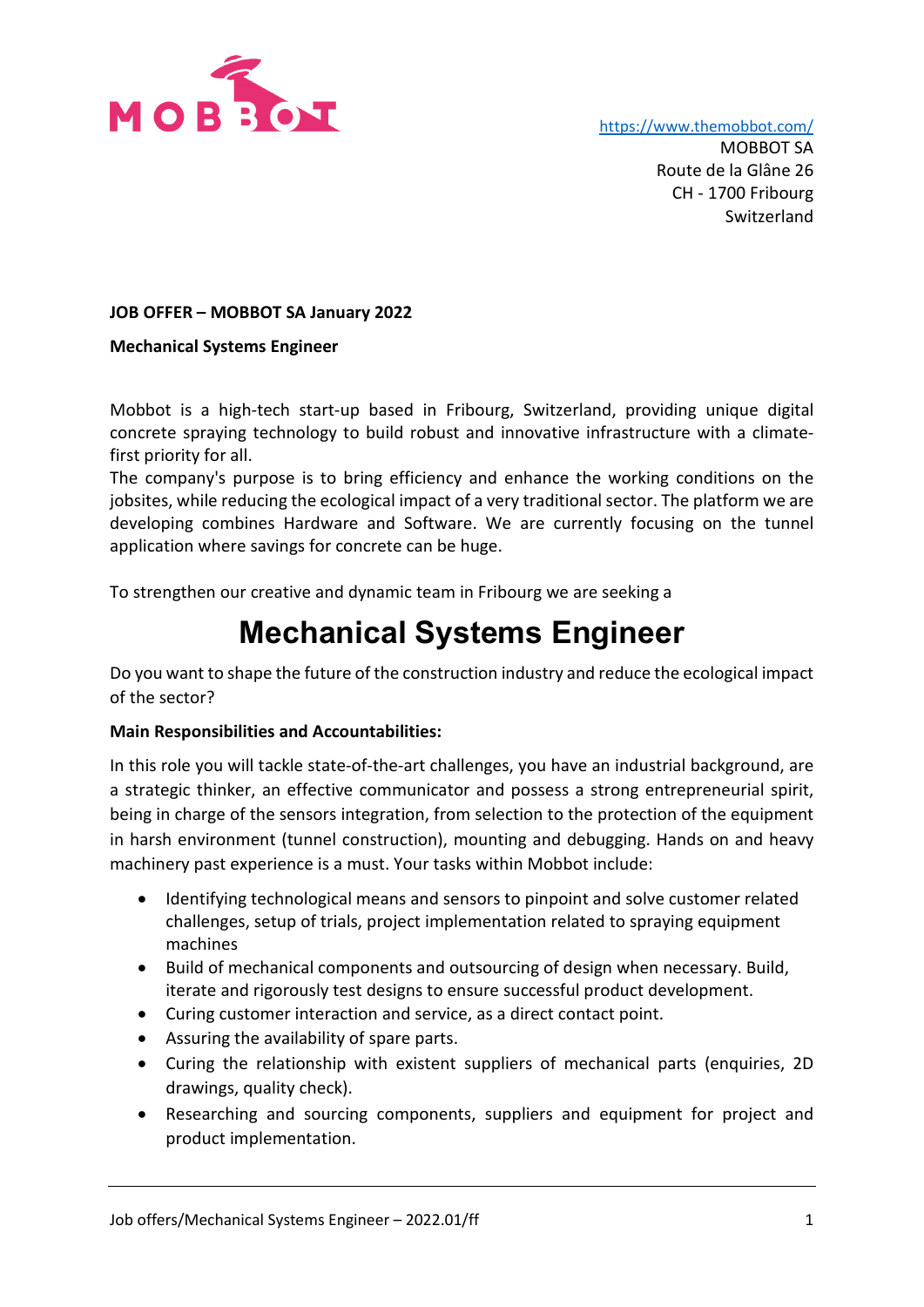

<https://www.themobbot.com/>

MOBBOT SA Route de la Glâne 26 CH - 1700 Fribourg Switzerland

## **JOB OFFER – MOBBOT SA January 2022**

### **Mechanical Systems Engineer**

Mobbot is a high-tech start-up based in Fribourg, Switzerland, providing unique digital concrete spraying technology to build robust and innovative infrastructure with a climatefirst priority for all.

The company's purpose is to bring efficiency and enhance the working conditions on the jobsites, while reducing the ecological impact of a very traditional sector. The platform we are developing combines Hardware and Software. We are currently focusing on the tunnel application where savings for concrete can be huge.

To strengthen our creative and dynamic team in Fribourg we are seeking a

# **Mechanical Systems Engineer**

Do you want to shape the future of the construction industry and reduce the ecological impact of the sector?

## **Main Responsibilities and Accountabilities:**

In this role you will tackle state-of-the-art challenges, you have an industrial background, are a strategic thinker, an effective communicator and possess a strong entrepreneurial spirit, being in charge of the sensors integration, from selection to the protection of the equipment in harsh environment (tunnel construction), mounting and debugging. Hands on and heavy machinery past experience is a must. Your tasks within Mobbot include:

- Identifying technological means and sensors to pinpoint and solve customer related challenges, setup of trials, project implementation related to spraying equipment machines
- Build of mechanical components and outsourcing of design when necessary. Build, iterate and rigorously test designs to ensure successful product development.
- Curing customer interaction and service, as a direct contact point.
- Assuring the availability of spare parts.
- Curing the relationship with existent suppliers of mechanical parts (enquiries, 2D drawings, quality check).
- Researching and sourcing components, suppliers and equipment for project and product implementation.